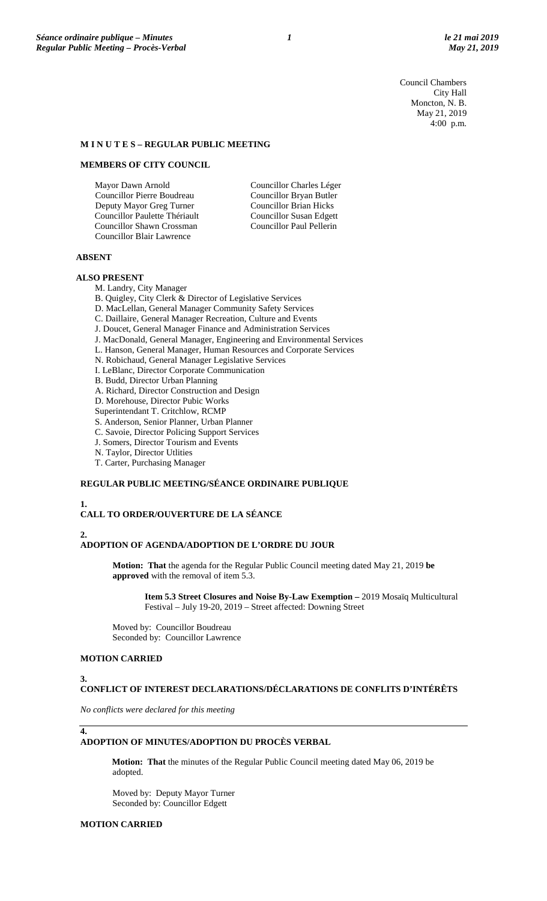Council Chambers City Hall Moncton, N. B. May 21, 2019 4:00 p.m.

# **M I N U T E S – REGULAR PUBLIC MEETING**

### **MEMBERS OF CITY COUNCIL**

Mayor Dawn Arnold Councillor Pierre Boudreau Deputy Mayor Greg Turner Councillor Paulette Thériault Councillor Shawn Crossman Councillor Blair Lawrence

Councillor Charles Léger Councillor Bryan Butler Councillor Brian Hicks Councillor Susan Edgett Councillor Paul Pellerin

# **ABSENT**

#### **ALSO PRESENT**

M. Landry, City Manager

B. Quigley, City Clerk & Director of Legislative Services

D. MacLellan, General Manager Community Safety Services

C. Daillaire, General Manager Recreation, Culture and Events

J. Doucet, General Manager Finance and Administration Services

J. MacDonald, General Manager, Engineering and Environmental Services

- L. Hanson, General Manager, Human Resources and Corporate Services
- N. Robichaud, General Manager Legislative Services
- I. LeBlanc, Director Corporate Communication

B. Budd, Director Urban Planning

A. Richard, Director Construction and Design

D. Morehouse, Director Pubic Works

Superintendant T. Critchlow, RCMP

S. Anderson, Senior Planner, Urban Planner

C. Savoie, Director Policing Support Services

J. Somers, Director Tourism and Events

N. Taylor, Director Utlities

T. Carter, Purchasing Manager

# **REGULAR PUBLIC MEETING/SÉANCE ORDINAIRE PUBLIQUE**

**1.**

### **CALL TO ORDER/OUVERTURE DE LA SÉANCE**

#### **2.**

#### **ADOPTION OF AGENDA/ADOPTION DE L'ORDRE DU JOUR**

**Motion: That** the agenda for the Regular Public Council meeting dated May 21, 2019 **be approved** with the removal of item 5.3.

**Item 5.3 Street Closures and Noise By-Law Exemption –** 2019 Mosaïq Multicultural Festival – July 19-20, 2019 – Street affected: Downing Street

Moved by: Councillor Boudreau Seconded by: Councillor Lawrence

### **MOTION CARRIED**

#### **3.**

**4.**

## **CONFLICT OF INTEREST DECLARATIONS/DÉCLARATIONS DE CONFLITS D'INTÉRÊTS**

*No conflicts were declared for this meeting*

### **ADOPTION OF MINUTES/ADOPTION DU PROCÈS VERBAL**

**Motion: That** the minutes of the Regular Public Council meeting dated May 06, 2019 be adopted.

Moved by: Deputy Mayor Turner Seconded by: Councillor Edgett

#### **MOTION CARRIED**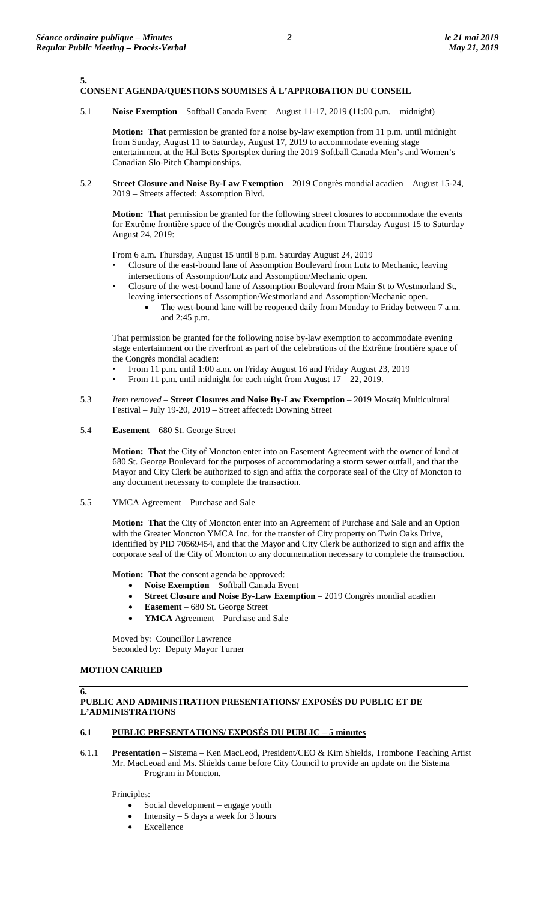#### **5. CONSENT AGENDA/QUESTIONS SOUMISES À L'APPROBATION DU CONSEIL**

5.1 **Noise Exemption** – Softball Canada Event – August 11-17, 2019 (11:00 p.m. – midnight)

**Motion: That** permission be granted for a noise by-law exemption from 11 p.m. until midnight from Sunday, August 11 to Saturday, August 17, 2019 to accommodate evening stage entertainment at the Hal Betts Sportsplex during the 2019 Softball Canada Men's and Women's Canadian Slo-Pitch Championships.

5.2 **Street Closure and Noise By-Law Exemption** – 2019 Congrès mondial acadien – August 15-24, 2019 – Streets affected: Assomption Blvd.

**Motion: That** permission be granted for the following street closures to accommodate the events for Extrême frontière space of the Congrès mondial acadien from Thursday August 15 to Saturday August 24, 2019:

From 6 a.m. Thursday, August 15 until 8 p.m. Saturday August 24, 2019

- Closure of the east-bound lane of Assomption Boulevard from Lutz to Mechanic, leaving intersections of Assomption/Lutz and Assomption/Mechanic open.
- Closure of the west-bound lane of Assomption Boulevard from Main St to Westmorland St, leaving intersections of Assomption/Westmorland and Assomption/Mechanic open.
	- The west-bound lane will be reopened daily from Monday to Friday between 7 a.m. and 2:45 p.m.

That permission be granted for the following noise by-law exemption to accommodate evening stage entertainment on the riverfront as part of the celebrations of the Extrême frontière space of the Congrès mondial acadien:

- From 11 p.m. until 1:00 a.m. on Friday August 16 and Friday August 23, 2019
- From 11 p.m. until midnight for each night from August  $17 22$ , 2019.
- 5.3 *Item removed –* **Street Closures and Noise By-Law Exemption** 2019 Mosaïq Multicultural Festival – July 19-20, 2019 – Street affected: Downing Street
- 5.4 **Easement** 680 St. George Street

**Motion: That** the City of Moncton enter into an Easement Agreement with the owner of land at 680 St. George Boulevard for the purposes of accommodating a storm sewer outfall, and that the Mayor and City Clerk be authorized to sign and affix the corporate seal of the City of Moncton to any document necessary to complete the transaction.

5.5 YMCA Agreement – Purchase and Sale

**Motion: That** the City of Moncton enter into an Agreement of Purchase and Sale and an Option with the Greater Moncton YMCA Inc. for the transfer of City property on Twin Oaks Drive, identified by PID 70569454, and that the Mayor and City Clerk be authorized to sign and affix the corporate seal of the City of Moncton to any documentation necessary to complete the transaction.

**Motion: That** the consent agenda be approved:

- **Noise Exemption**  Softball Canada Event
- **Street Closure and Noise By-Law Exemption** 2019 Congrès mondial acadien
- **Easement** 680 St. George Street
- YMCA Agreement Purchase and Sale

Moved by: Councillor Lawrence Seconded by: Deputy Mayor Turner

## **MOTION CARRIED**

**6.**

## **PUBLIC AND ADMINISTRATION PRESENTATIONS/ EXPOSÉS DU PUBLIC ET DE L'ADMINISTRATIONS**

# **6.1 PUBLIC PRESENTATIONS/ EXPOSÉS DU PUBLIC – 5 minutes**

6.1.1 **Presentation** – Sistema – Ken MacLeod, President/CEO & Kim Shields, Trombone Teaching Artist Mr. MacLeoad and Ms. Shields came before City Council to provide an update on the Sistema Program in Moncton.

Principles:

- Social development engage youth
- Intensity  $-5$  days a week for 3 hours
- **Excellence**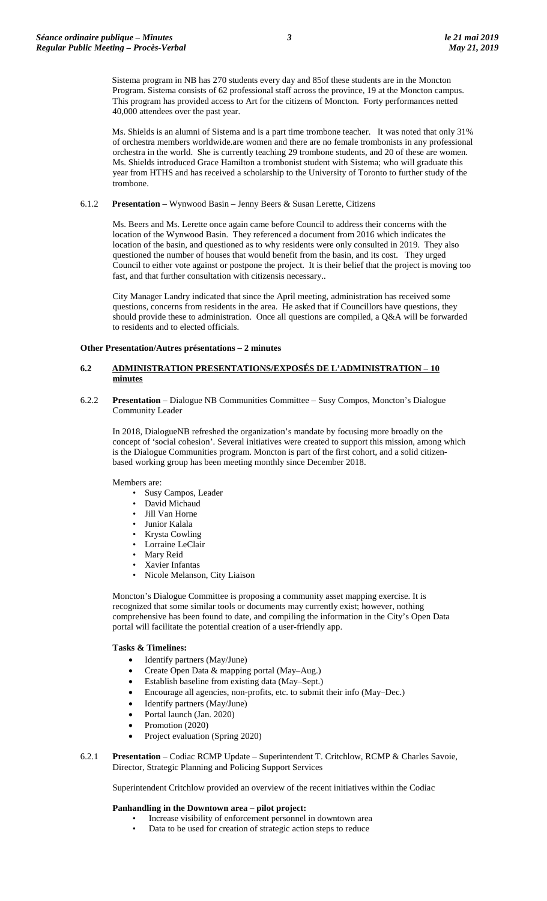Sistema program in NB has 270 students every day and 85of these students are in the Moncton Program. Sistema consists of 62 professional staff across the province, 19 at the Moncton campus. This program has provided access to Art for the citizens of Moncton. Forty performances netted 40,000 attendees over the past year.

Ms. Shields is an alumni of Sistema and is a part time trombone teacher. It was noted that only 31% of orchestra members worldwide.are women and there are no female trombonists in any professional orchestra in the world. She is currently teaching 29 trombone students, and 20 of these are women. Ms. Shields introduced Grace Hamilton a trombonist student with Sistema; who will graduate this year from HTHS and has received a scholarship to the University of Toronto to further study of the trombone.

#### 6.1.2 **Presentation** – Wynwood Basin – Jenny Beers & Susan Lerette, Citizens

Ms. Beers and Ms. Lerette once again came before Council to address their concerns with the location of the Wynwood Basin. They referenced a document from 2016 which indicates the location of the basin, and questioned as to why residents were only consulted in 2019. They also questioned the number of houses that would benefit from the basin, and its cost. They urged Council to either vote against or postpone the project. It is their belief that the project is moving too fast, and that further consultation with citizensis necessary..

City Manager Landry indicated that since the April meeting, administration has received some questions, concerns from residents in the area. He asked that if Councillors have questions, they should provide these to administration. Once all questions are compiled, a Q&A will be forwarded to residents and to elected officials.

#### **Other Presentation/Autres présentations – 2 minutes**

### **6.2 ADMINISTRATION PRESENTATIONS/EXPOSÉS DE L'ADMINISTRATION – 10 minutes**

6.2.2 **Presentation** – Dialogue NB Communities Committee – Susy Compos, Moncton's Dialogue Community Leader

In 2018, DialogueNB refreshed the organization's mandate by focusing more broadly on the concept of 'social cohesion'. Several initiatives were created to support this mission, among which is the Dialogue Communities program. Moncton is part of the first cohort, and a solid citizenbased working group has been meeting monthly since December 2018.

Members are:

- Susy Campos, Leader
- David Michaud
- Jill Van Horne
- Junior Kalala
- Krysta Cowling
- Lorraine LeClair
- Mary Reid
- Xavier Infantas
- Nicole Melanson, City Liaison

Moncton's Dialogue Committee is proposing a community asset mapping exercise. It is recognized that some similar tools or documents may currently exist; however, nothing comprehensive has been found to date, and compiling the information in the City's Open Data portal will facilitate the potential creation of a user-friendly app.

# **Tasks & Timelines:**

- Identify partners (May/June)
- Create Open Data & mapping portal (May–Aug.)
- Establish baseline from existing data (May–Sept.)
- Encourage all agencies, non-profits, etc. to submit their info (May–Dec.)
- Identify partners (May/June)
- Portal launch (Jan. 2020)
- Promotion (2020)
- Project evaluation (Spring 2020)
- 6.2.1 **Presentation** Codiac RCMP Update Superintendent T. Critchlow, RCMP & Charles Savoie, Director, Strategic Planning and Policing Support Services

Superintendent Critchlow provided an overview of the recent initiatives within the Codiac

# **Panhandling in the Downtown area – pilot project:**

- Increase visibility of enforcement personnel in downtown area
	- Data to be used for creation of strategic action steps to reduce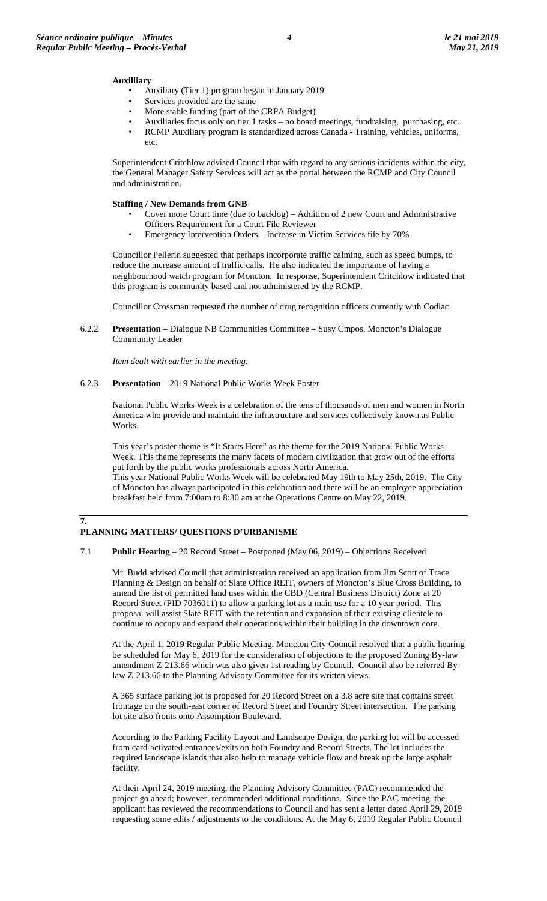#### **Auxilliary**

- Auxiliary (Tier 1) program began in January 2019
- Services provided are the same
- More stable funding (part of the CRPA Budget)
- Auxiliaries focus only on tier 1 tasks no board meetings, fundraising, purchasing, etc.
- RCMP Auxiliary program is standardized across Canada Training, vehicles, uniforms, etc.

Superintendent Critchlow advised Council that with regard to any serious incidents within the city, the General Manager Safety Services will act as the portal between the RCMP and City Council and administration.

#### **Staffing / New Demands from GNB**

- Cover more Court time (due to backlog) Addition of 2 new Court and Administrative Officers Requirement for a Court File Reviewer
- Emergency Intervention Orders Increase in Victim Services file by 70%

Councillor Pellerin suggested that perhaps incorporate traffic calming, such as speed bumps, to reduce the increase amount of traffic calls. He also indicated the importance of having a neighbourhood watch program for Moncton. In response, Superintendent Critchlow indicated that this program is community based and not administered by the RCMP.

Councillor Crossman requested the number of drug recognition officers currently with Codiac.

6.2.2 **Presentation** – Dialogue NB Communities Committee – Susy Cmpos, Moncton's Dialogue Community Leader

*Item dealt with earlier in the meeting.*

6.2.3 **Presentation** – 2019 National Public Works Week Poster

National Public Works Week is a celebration of the tens of thousands of men and women in North America who provide and maintain the infrastructure and services collectively known as Public Works.

This year's poster theme is "It Starts Here" as the theme for the 2019 National Public Works Week. This theme represents the many facets of modern civilization that grow out of the efforts put forth by the public works professionals across North America.

This year National Public Works Week will be celebrated May 19th to May 25th, 2019. The City of Moncton has always participated in this celebration and there will be an employee appreciation breakfast held from 7:00am to 8:30 am at the Operations Centre on May 22, 2019.

# **7.**

# **PLANNING MATTERS/ QUESTIONS D'URBANISME**

7.1 **Public Hearing** – 20 Record Street – Postponed (May 06, 2019) – Objections Received

Mr. Budd advised Council that administration received an application from Jim Scott of Trace Planning & Design on behalf of Slate Office REIT, owners of Moncton's Blue Cross Building, to amend the list of permitted land uses within the CBD (Central Business District) Zone at 20 Record Street (PID 7036011) to allow a parking lot as a main use for a 10 year period. This proposal will assist Slate REIT with the retention and expansion of their existing clientele to continue to occupy and expand their operations within their building in the downtown core.

At the April 1, 2019 Regular Public Meeting, Moncton City Council resolved that a public hearing be scheduled for May 6, 2019 for the consideration of objections to the proposed Zoning By-law amendment Z-213.66 which was also given 1st reading by Council. Council also be referred Bylaw Z-213.66 to the Planning Advisory Committee for its written views.

A 365 surface parking lot is proposed for 20 Record Street on a 3.8 acre site that contains street frontage on the south-east corner of Record Street and Foundry Street intersection. The parking lot site also fronts onto Assomption Boulevard.

According to the Parking Facility Layout and Landscape Design, the parking lot will be accessed from card-activated entrances/exits on both Foundry and Record Streets. The lot includes the required landscape islands that also help to manage vehicle flow and break up the large asphalt facility.

At their April 24, 2019 meeting, the Planning Advisory Committee (PAC) recommended the project go ahead; however, recommended additional conditions. Since the PAC meeting, the applicant has reviewed the recommendations to Council and has sent a letter dated April 29, 2019 requesting some edits / adjustments to the conditions. At the May 6, 2019 Regular Public Council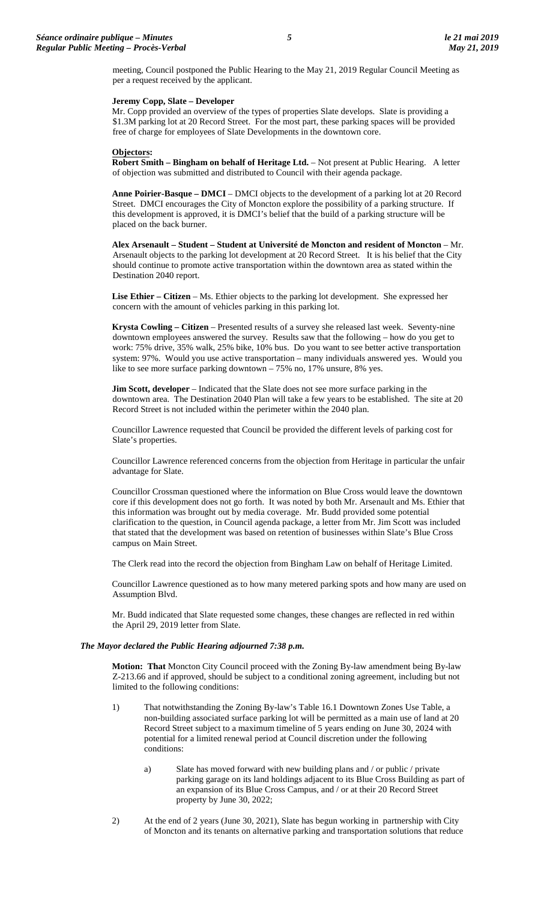meeting, Council postponed the Public Hearing to the May 21, 2019 Regular Council Meeting as per a request received by the applicant.

### **Jeremy Copp, Slate – Developer**

Mr. Copp provided an overview of the types of properties Slate develops. Slate is providing a \$1.3M parking lot at 20 Record Street. For the most part, these parking spaces will be provided free of charge for employees of Slate Developments in the downtown core.

# **Objectors:**

**Robert Smith – Bingham on behalf of Heritage Ltd.** – Not present at Public Hearing. A letter of objection was submitted and distributed to Council with their agenda package.

**Anne Poirier-Basque – DMCI** – DMCI objects to the development of a parking lot at 20 Record Street. DMCI encourages the City of Moncton explore the possibility of a parking structure. If this development is approved, it is DMCI's belief that the build of a parking structure will be placed on the back burner.

**Alex Arsenault – Student – Student at Université de Moncton and resident of Moncton** – Mr. Arsenault objects to the parking lot development at 20 Record Street. It is his belief that the City should continue to promote active transportation within the downtown area as stated within the Destination 2040 report.

**Lise Ethier – Citizen** – Ms. Ethier objects to the parking lot development. She expressed her concern with the amount of vehicles parking in this parking lot.

**Krysta Cowling – Citizen** – Presented results of a survey she released last week. Seventy-nine downtown employees answered the survey. Results saw that the following – how do you get to work: 75% drive, 35% walk, 25% bike, 10% bus. Do you want to see better active transportation system: 97%. Would you use active transportation – many individuals answered yes. Would you like to see more surface parking downtown – 75% no, 17% unsure, 8% yes.

**Jim Scott, developer** – Indicated that the Slate does not see more surface parking in the downtown area. The Destination 2040 Plan will take a few years to be established. The site at 20 Record Street is not included within the perimeter within the 2040 plan.

Councillor Lawrence requested that Council be provided the different levels of parking cost for Slate's properties.

Councillor Lawrence referenced concerns from the objection from Heritage in particular the unfair advantage for Slate.

Councillor Crossman questioned where the information on Blue Cross would leave the downtown core if this development does not go forth. It was noted by both Mr. Arsenault and Ms. Ethier that this information was brought out by media coverage. Mr. Budd provided some potential clarification to the question, in Council agenda package, a letter from Mr. Jim Scott was included that stated that the development was based on retention of businesses within Slate's Blue Cross campus on Main Street.

The Clerk read into the record the objection from Bingham Law on behalf of Heritage Limited.

Councillor Lawrence questioned as to how many metered parking spots and how many are used on Assumption Blvd.

Mr. Budd indicated that Slate requested some changes, these changes are reflected in red within the April 29, 2019 letter from Slate.

### *The Mayor declared the Public Hearing adjourned 7:38 p.m.*

**Motion: That** Moncton City Council proceed with the Zoning By-law amendment being By-law Z-213.66 and if approved, should be subject to a conditional zoning agreement, including but not limited to the following conditions:

- 1) That notwithstanding the Zoning By-law's Table 16.1 Downtown Zones Use Table, a non-building associated surface parking lot will be permitted as a main use of land at 20 Record Street subject to a maximum timeline of 5 years ending on June 30, 2024 with potential for a limited renewal period at Council discretion under the following conditions:
	- a) Slate has moved forward with new building plans and / or public / private parking garage on its land holdings adjacent to its Blue Cross Building as part of an expansion of its Blue Cross Campus, and / or at their 20 Record Street property by June 30, 2022;
- 2) At the end of 2 years (June 30, 2021), Slate has begun working in partnership with City of Moncton and its tenants on alternative parking and transportation solutions that reduce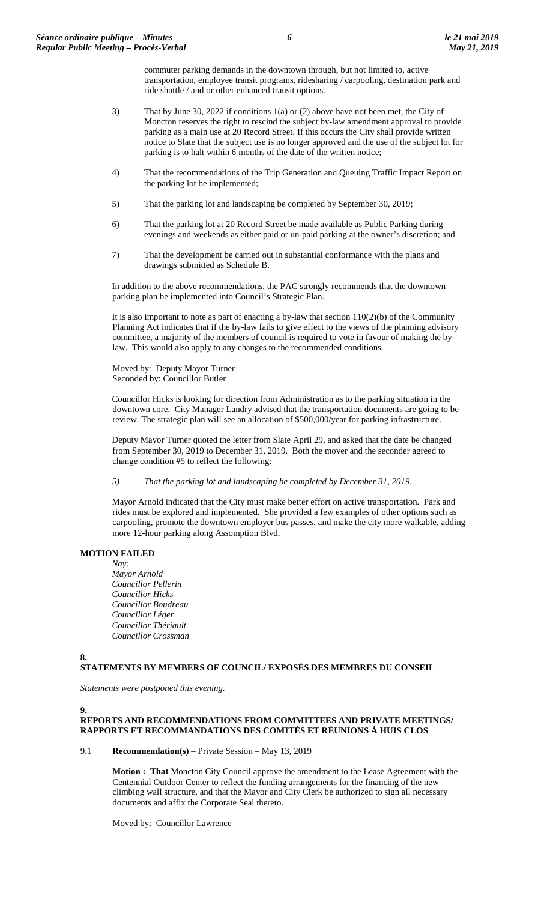commuter parking demands in the downtown through, but not limited to, active transportation, employee transit programs, ridesharing / carpooling, destination park and ride shuttle / and or other enhanced transit options.

- 3) That by June 30, 2022 if conditions 1(a) or (2) above have not been met, the City of Moncton reserves the right to rescind the subject by-law amendment approval to provide parking as a main use at 20 Record Street. If this occurs the City shall provide written notice to Slate that the subject use is no longer approved and the use of the subject lot for parking is to halt within 6 months of the date of the written notice;
- 4) That the recommendations of the Trip Generation and Queuing Traffic Impact Report on the parking lot be implemented;
- 5) That the parking lot and landscaping be completed by September 30, 2019;
- 6) That the parking lot at 20 Record Street be made available as Public Parking during evenings and weekends as either paid or un-paid parking at the owner's discretion; and
- 7) That the development be carried out in substantial conformance with the plans and drawings submitted as Schedule B.

In addition to the above recommendations, the PAC strongly recommends that the downtown parking plan be implemented into Council's Strategic Plan.

It is also important to note as part of enacting a by-law that section  $110(2)(b)$  of the Community Planning Act indicates that if the by-law fails to give effect to the views of the planning advisory committee, a majority of the members of council is required to vote in favour of making the bylaw. This would also apply to any changes to the recommended conditions.

Moved by: Deputy Mayor Turner Seconded by: Councillor Butler

Councillor Hicks is looking for direction from Administration as to the parking situation in the downtown core. City Manager Landry advised that the transportation documents are going to be review. The strategic plan will see an allocation of \$500,000/year for parking infrastructure.

Deputy Mayor Turner quoted the letter from Slate April 29, and asked that the date be changed from September 30, 2019 to December 31, 2019. Both the mover and the seconder agreed to change condition #5 to reflect the following:

*5) That the parking lot and landscaping be completed by December 31, 2019.*

Mayor Arnold indicated that the City must make better effort on active transportation. Park and rides must be explored and implemented. She provided a few examples of other options such as carpooling, promote the downtown employer bus passes, and make the city more walkable, adding more 12-hour parking along Assomption Blvd.

# **MOTION FAILED**

*Nay: Mayor Arnold Councillor Pellerin Councillor Hicks Councillor Boudreau Councillor Léger Councillor Thériault Councillor Crossman*

## **8.**

**9.**

### **STATEMENTS BY MEMBERS OF COUNCIL/ EXPOSÉS DES MEMBRES DU CONSEIL**

*Statements were postponed this evening.*

# **REPORTS AND RECOMMENDATIONS FROM COMMITTEES AND PRIVATE MEETINGS/ RAPPORTS ET RECOMMANDATIONS DES COMITÉS ET RÉUNIONS À HUIS CLOS**

9.1 **Recommendation(s)** – Private Session – May 13, 2019

**Motion : That** Moncton City Council approve the amendment to the Lease Agreement with the Centennial Outdoor Center to reflect the funding arrangements for the financing of the new climbing wall structure, and that the Mayor and City Clerk be authorized to sign all necessary documents and affix the Corporate Seal thereto.

Moved by: Councillor Lawrence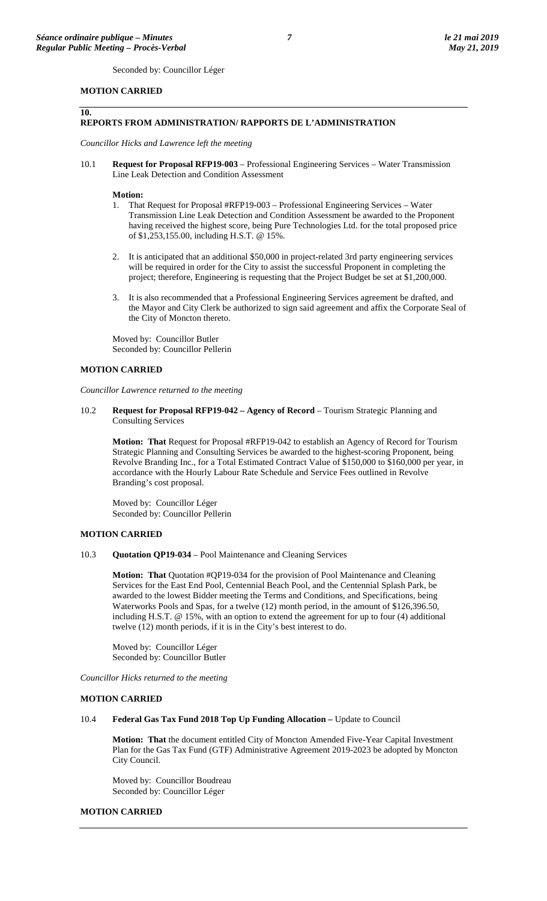**10.**

Seconded by: Councillor Léger

# **MOTION CARRIED**

#### **REPORTS FROM ADMINISTRATION/ RAPPORTS DE L'ADMINISTRATION**

*Councillor Hicks and Lawrence left the meeting*

10.1 **Request for Proposal RFP19-003** – Professional Engineering Services – Water Transmission Line Leak Detection and Condition Assessment

#### **Motion:**

- 1. That Request for Proposal #RFP19-003 Professional Engineering Services Water Transmission Line Leak Detection and Condition Assessment be awarded to the Proponent having received the highest score, being Pure Technologies Ltd. for the total proposed price of \$1,253,155.00, including H.S.T. @ 15%.
- 2. It is anticipated that an additional \$50,000 in project-related 3rd party engineering services will be required in order for the City to assist the successful Proponent in completing the project; therefore, Engineering is requesting that the Project Budget be set at \$1,200,000.
- 3. It is also recommended that a Professional Engineering Services agreement be drafted, and the Mayor and City Clerk be authorized to sign said agreement and affix the Corporate Seal of the City of Moncton thereto.

Moved by: Councillor Butler Seconded by: Councillor Pellerin

#### **MOTION CARRIED**

*Councillor Lawrence returned to the meeting*

10.2 **Request for Proposal RFP19-042 – Agency of Record** – Tourism Strategic Planning and Consulting Services

**Motion: That** Request for Proposal #RFP19-042 to establish an Agency of Record for Tourism Strategic Planning and Consulting Services be awarded to the highest-scoring Proponent, being Revolve Branding Inc., for a Total Estimated Contract Value of \$150,000 to \$160,000 per year, in accordance with the Hourly Labour Rate Schedule and Service Fees outlined in Revolve Branding's cost proposal.

Moved by: Councillor Léger Seconded by: Councillor Pellerin

#### **MOTION CARRIED**

10.3 **Quotation QP19-034** – Pool Maintenance and Cleaning Services

**Motion: That** Quotation #QP19-034 for the provision of Pool Maintenance and Cleaning Services for the East End Pool, Centennial Beach Pool, and the Centennial Splash Park, be awarded to the lowest Bidder meeting the Terms and Conditions, and Specifications, being Waterworks Pools and Spas, for a twelve (12) month period, in the amount of \$126,396.50, including H.S.T. @ 15%, with an option to extend the agreement for up to four (4) additional twelve (12) month periods, if it is in the City's best interest to do.

Moved by: Councillor Léger Seconded by: Councillor Butler

*Councillor Hicks returned to the meeting*

#### **MOTION CARRIED**

10.4 **Federal Gas Tax Fund 2018 Top Up Funding Allocation –** Update to Council

**Motion: That** the document entitled City of Moncton Amended Five-Year Capital Investment Plan for the Gas Tax Fund (GTF) Administrative Agreement 2019-2023 be adopted by Moncton City Council.

Moved by: Councillor Boudreau Seconded by: Councillor Léger

#### **MOTION CARRIED**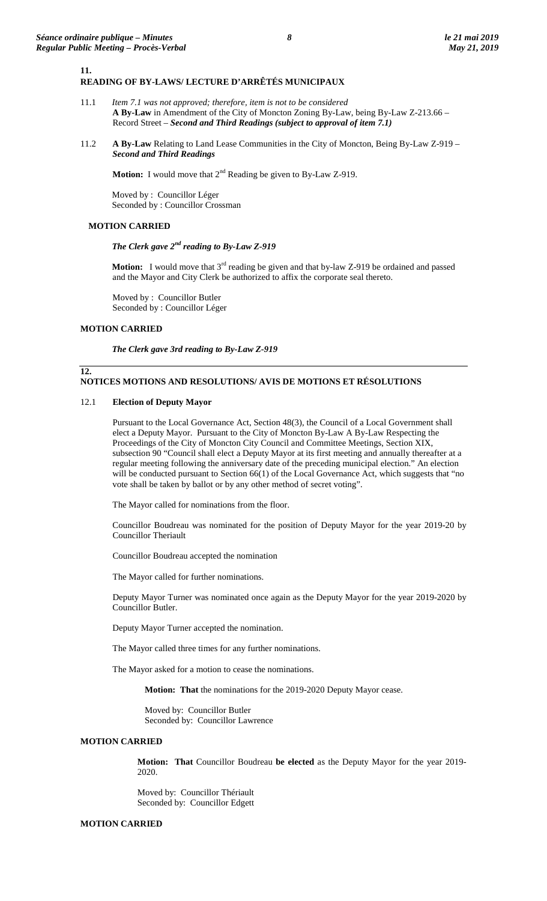#### **11. READING OF BY-LAWS/ LECTURE D'ARRÊTÉS MUNICIPAUX**

- 11.1 *Item 7.1 was not approved; therefore, item is not to be considered* **A By-Law** in Amendment of the City of Moncton Zoning By-Law, being By-Law Z-213.66 – Record Street – *Second and Third Readings (subject to approval of item 7.1)*
- 11.2 **A By-Law** Relating to Land Lease Communities in the City of Moncton, Being By-Law Z-919 *Second and Third Readings*

**Motion:** I would move that  $2^{nd}$  Reading be given to By-Law Z-919.

Moved by : Councillor Léger Seconded by : Councillor Crossman

# **MOTION CARRIED**

*The Clerk gave 2nd reading to By-Law Z-919*

**Motion:** I would move that  $3<sup>rd</sup>$  reading be given and that by-law Z-919 be ordained and passed and the Mayor and City Clerk be authorized to affix the corporate seal thereto.

Moved by : Councillor Butler Seconded by : Councillor Léger

# **MOTION CARRIED**

**12.**

*The Clerk gave 3rd reading to By-Law Z-919*

# **NOTICES MOTIONS AND RESOLUTIONS/ AVIS DE MOTIONS ET RÉSOLUTIONS**

#### 12.1 **Election of Deputy Mayor**

Pursuant to the Local Governance Act, Section 48(3), the Council of a Local Government shall elect a Deputy Mayor. Pursuant to the City of Moncton By-Law A By-Law Respecting the Proceedings of the City of Moncton City Council and Committee Meetings, Section XIX, subsection 90 "Council shall elect a Deputy Mayor at its first meeting and annually thereafter at a regular meeting following the anniversary date of the preceding municipal election." An election will be conducted pursuant to Section 66(1) of the Local Governance Act, which suggests that "no vote shall be taken by ballot or by any other method of secret voting".

The Mayor called for nominations from the floor.

Councillor Boudreau was nominated for the position of Deputy Mayor for the year 2019-20 by Councillor Theriault

Councillor Boudreau accepted the nomination

The Mayor called for further nominations.

Deputy Mayor Turner was nominated once again as the Deputy Mayor for the year 2019-2020 by Councillor Butler.

Deputy Mayor Turner accepted the nomination.

The Mayor called three times for any further nominations.

The Mayor asked for a motion to cease the nominations.

**Motion: That** the nominations for the 2019-2020 Deputy Mayor cease.

Moved by: Councillor Butler Seconded by: Councillor Lawrence

#### **MOTION CARRIED**

**Motion: That** Councillor Boudreau **be elected** as the Deputy Mayor for the year 2019- 2020.

Moved by: Councillor Thériault Seconded by: Councillor Edgett

#### **MOTION CARRIED**